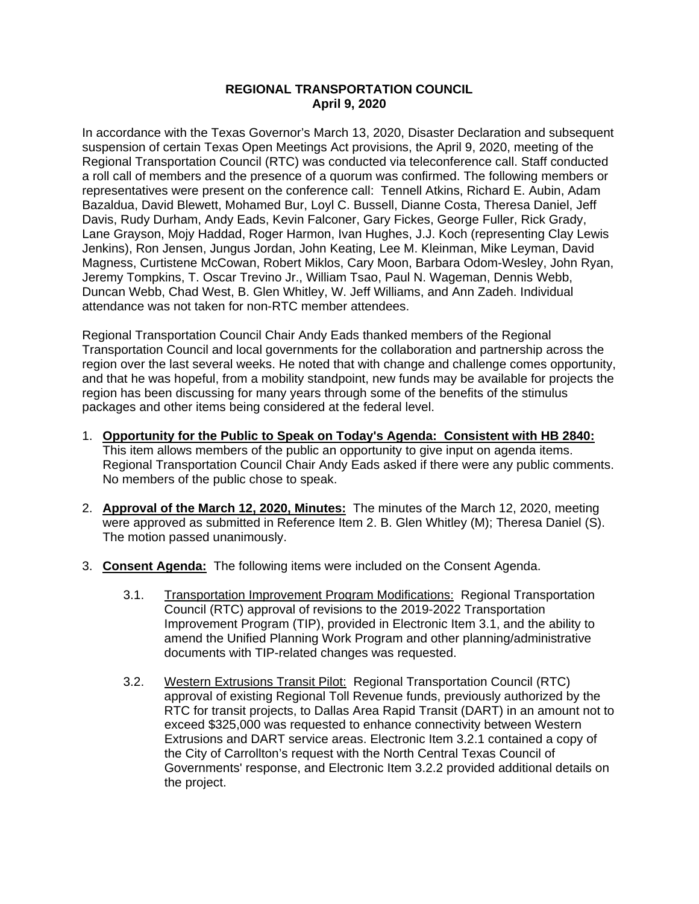## **REGIONAL TRANSPORTATION COUNCIL April 9, 2020**

In accordance with the Texas Governor's March 13, 2020, Disaster Declaration and subsequent suspension of certain Texas Open Meetings Act provisions, the April 9, 2020, meeting of the Regional Transportation Council (RTC) was conducted via teleconference call. Staff conducted a roll call of members and the presence of a quorum was confirmed. The following members or representatives were present on the conference call: Tennell Atkins, Richard E. Aubin, Adam Bazaldua, David Blewett, Mohamed Bur, Loyl C. Bussell, Dianne Costa, Theresa Daniel, Jeff Davis, Rudy Durham, Andy Eads, Kevin Falconer, Gary Fickes, George Fuller, Rick Grady, Lane Grayson, Mojy Haddad, Roger Harmon, Ivan Hughes, J.J. Koch (representing Clay Lewis Jenkins), Ron Jensen, Jungus Jordan, John Keating, Lee M. Kleinman, Mike Leyman, David Magness, Curtistene McCowan, Robert Miklos, Cary Moon, Barbara Odom-Wesley, John Ryan, Jeremy Tompkins, T. Oscar Trevino Jr., William Tsao, Paul N. Wageman, Dennis Webb, Duncan Webb, Chad West, B. Glen Whitley, W. Jeff Williams, and Ann Zadeh. Individual attendance was not taken for non-RTC member attendees.

Regional Transportation Council Chair Andy Eads thanked members of the Regional Transportation Council and local governments for the collaboration and partnership across the region over the last several weeks. He noted that with change and challenge comes opportunity, and that he was hopeful, from a mobility standpoint, new funds may be available for projects the region has been discussing for many years through some of the benefits of the stimulus packages and other items being considered at the federal level.

- 1. **Opportunity for the Public to Speak on Today's Agenda: Consistent with HB 2840:** This item allows members of the public an opportunity to give input on agenda items. Regional Transportation Council Chair Andy Eads asked if there were any public comments. No members of the public chose to speak.
- 2. **Approval of the March 12, 2020, Minutes:** The minutes of the March 12, 2020, meeting were approved as submitted in Reference Item 2. B. Glen Whitley (M); Theresa Daniel (S). The motion passed unanimously.
- 3. **Consent Agenda:** The following items were included on the Consent Agenda.
	- 3.1. Transportation Improvement Program Modifications: Regional Transportation Council (RTC) approval of revisions to the 2019-2022 Transportation Improvement Program (TIP), provided in Electronic Item 3.1, and the ability to amend the Unified Planning Work Program and other planning/administrative documents with TIP-related changes was requested.
	- 3.2. Western Extrusions Transit Pilot: Regional Transportation Council (RTC) approval of existing Regional Toll Revenue funds, previously authorized by the RTC for transit projects, to Dallas Area Rapid Transit (DART) in an amount not to exceed \$325,000 was requested to enhance connectivity between Western Extrusions and DART service areas. Electronic Item 3.2.1 contained a copy of the City of Carrollton's request with the North Central Texas Council of Governments' response, and Electronic Item 3.2.2 provided additional details on the project.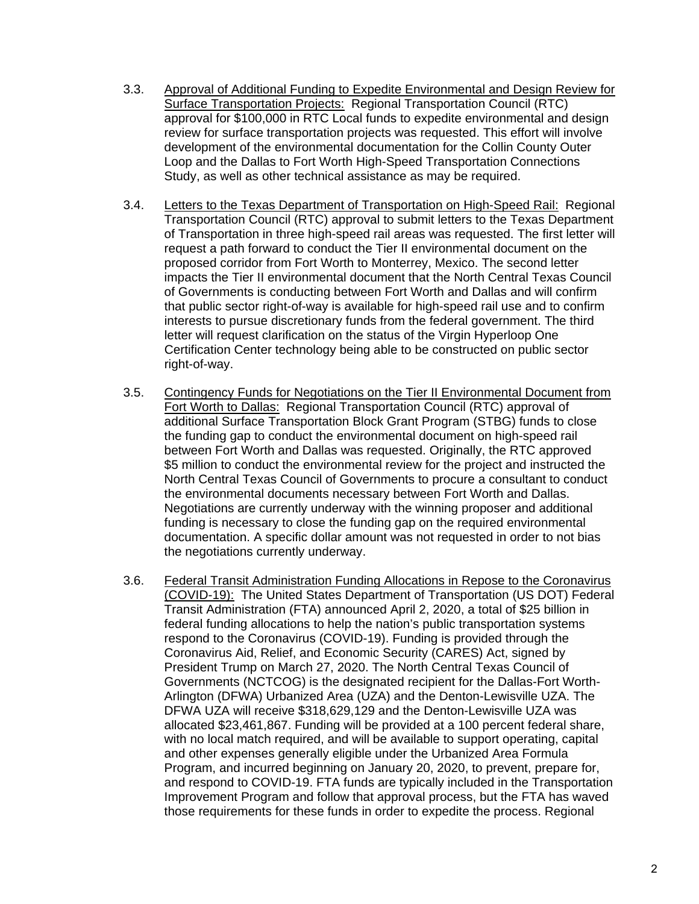- 3.3. Approval of Additional Funding to Expedite Environmental and Design Review for Surface Transportation Projects: Regional Transportation Council (RTC) approval for \$100,000 in RTC Local funds to expedite environmental and design review for surface transportation projects was requested. This effort will involve development of the environmental documentation for the Collin County Outer Loop and the Dallas to Fort Worth High-Speed Transportation Connections Study, as well as other technical assistance as may be required.
- 3.4. Letters to the Texas Department of Transportation on High-Speed Rail: Regional Transportation Council (RTC) approval to submit letters to the Texas Department of Transportation in three high-speed rail areas was requested. The first letter will request a path forward to conduct the Tier II environmental document on the proposed corridor from Fort Worth to Monterrey, Mexico. The second letter impacts the Tier II environmental document that the North Central Texas Council of Governments is conducting between Fort Worth and Dallas and will confirm that public sector right-of-way is available for high-speed rail use and to confirm interests to pursue discretionary funds from the federal government. The third letter will request clarification on the status of the Virgin Hyperloop One Certification Center technology being able to be constructed on public sector right-of-way.
- 3.5. Contingency Funds for Negotiations on the Tier II Environmental Document from Fort Worth to Dallas: Regional Transportation Council (RTC) approval of additional Surface Transportation Block Grant Program (STBG) funds to close the funding gap to conduct the environmental document on high-speed rail between Fort Worth and Dallas was requested. Originally, the RTC approved \$5 million to conduct the environmental review for the project and instructed the North Central Texas Council of Governments to procure a consultant to conduct the environmental documents necessary between Fort Worth and Dallas. Negotiations are currently underway with the winning proposer and additional funding is necessary to close the funding gap on the required environmental documentation. A specific dollar amount was not requested in order to not bias the negotiations currently underway.
- 3.6. Federal Transit Administration Funding Allocations in Repose to the Coronavirus (COVID-19): The United States Department of Transportation (US DOT) Federal Transit Administration (FTA) announced April 2, 2020, a total of \$25 billion in federal funding allocations to help the nation's public transportation systems respond to the Coronavirus (COVID-19). Funding is provided through the Coronavirus Aid, Relief, and Economic Security (CARES) Act, signed by President Trump on March 27, 2020. The North Central Texas Council of Governments (NCTCOG) is the designated recipient for the Dallas-Fort Worth-Arlington (DFWA) Urbanized Area (UZA) and the Denton-Lewisville UZA. The DFWA UZA will receive \$318,629,129 and the Denton-Lewisville UZA was allocated \$23,461,867. Funding will be provided at a 100 percent federal share, with no local match required, and will be available to support operating, capital and other expenses generally eligible under the Urbanized Area Formula Program, and incurred beginning on January 20, 2020, to prevent, prepare for, and respond to COVID-19. FTA funds are typically included in the Transportation Improvement Program and follow that approval process, but the FTA has waved those requirements for these funds in order to expedite the process. Regional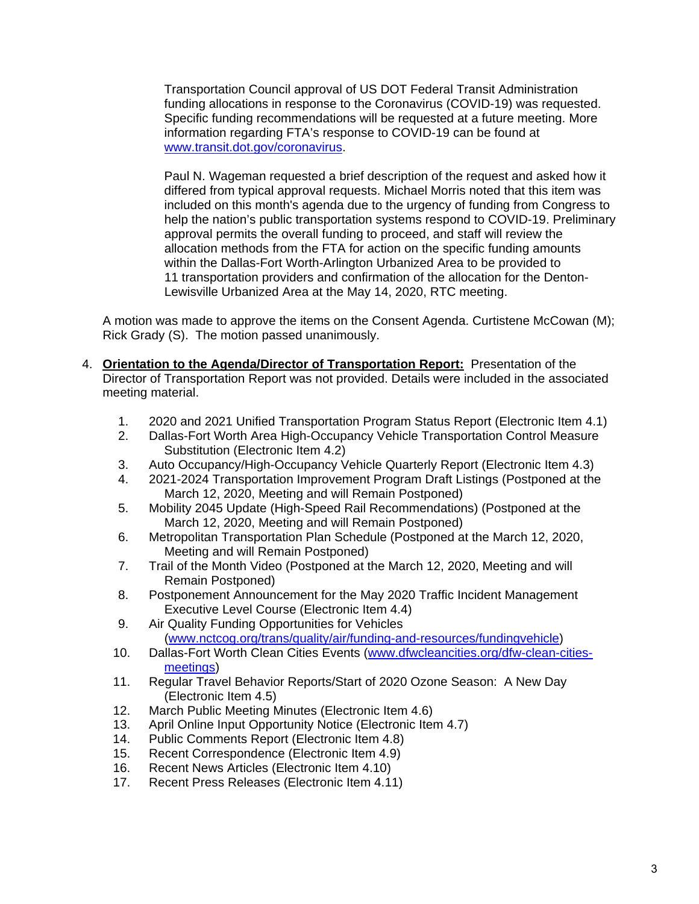Transportation Council approval of US DOT Federal Transit Administration funding allocations in response to the Coronavirus (COVID-19) was requested. Specific funding recommendations will be requested at a future meeting. More information regarding FTA's response to COVID-19 can be found at [www.transit.dot.gov/coronavirus.](http://www.transit.dot.gov/coronavirus)

Paul N. Wageman requested a brief description of the request and asked how it differed from typical approval requests. Michael Morris noted that this item was included on this month's agenda due to the urgency of funding from Congress to help the nation's public transportation systems respond to COVID-19. Preliminary approval permits the overall funding to proceed, and staff will review the allocation methods from the FTA for action on the specific funding amounts within the Dallas-Fort Worth-Arlington Urbanized Area to be provided to 11 transportation providers and confirmation of the allocation for the Denton-Lewisville Urbanized Area at the May 14, 2020, RTC meeting.

A motion was made to approve the items on the Consent Agenda. Curtistene McCowan (M); Rick Grady (S). The motion passed unanimously.

- 4. **Orientation to the Agenda/Director of Transportation Report:** Presentation of the Director of Transportation Report was not provided. Details were included in the associated meeting material.
	- 1. 2020 and 2021 Unified Transportation Program Status Report (Electronic Item 4.1)
	- 2. Dallas-Fort Worth Area High-Occupancy Vehicle Transportation Control Measure Substitution (Electronic Item 4.2)
	- 3. Auto Occupancy/High-Occupancy Vehicle Quarterly Report (Electronic Item 4.3)
	- 4. 2021-2024 Transportation Improvement Program Draft Listings (Postponed at the March 12, 2020, Meeting and will Remain Postponed)
	- 5. Mobility 2045 Update (High-Speed Rail Recommendations) (Postponed at the March 12, 2020, Meeting and will Remain Postponed)
	- 6. Metropolitan Transportation Plan Schedule (Postponed at the March 12, 2020, Meeting and will Remain Postponed)
	- 7. Trail of the Month Video (Postponed at the March 12, 2020, Meeting and will Remain Postponed)
	- 8. Postponement Announcement for the May 2020 Traffic Incident Management Executive Level Course (Electronic Item 4.4)
	- 9. Air Quality Funding Opportunities for Vehicles [\(www.nctcog.org/trans/quality/air/funding-and-resources/fundingvehicle\)](http://www.nctcog.org/trans/quality/air/funding-and-resources/fundingvehicle)
	- 10. Dallas-Fort Worth Clean Cities Events [\(www.dfwcleancities.org/dfw-clean-cities](http://www.dfwcleancities.org/dfw-clean-cities-meetings)[meetings\)](http://www.dfwcleancities.org/dfw-clean-cities-meetings)
	- 11. Regular Travel Behavior Reports/Start of 2020 Ozone Season: A New Day (Electronic Item 4.5)
	- 12. March Public Meeting Minutes (Electronic Item 4.6)
	- 13. April Online Input Opportunity Notice (Electronic Item 4.7)
	- 14. Public Comments Report (Electronic Item 4.8)
	- 15. Recent Correspondence (Electronic Item 4.9)
	- 16. Recent News Articles (Electronic Item 4.10)
	- 17. Recent Press Releases (Electronic Item 4.11)